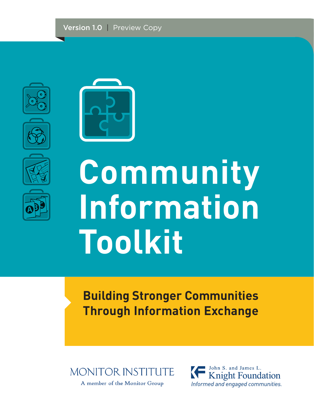Version 1.0 | Preview Copy





# **Community Information Toolkit**

# **Building Stronger Communities Through Information Exchange**



A member of the Monitor Group

John S. and James L. **Knight Foundation** Informed and engaged communities.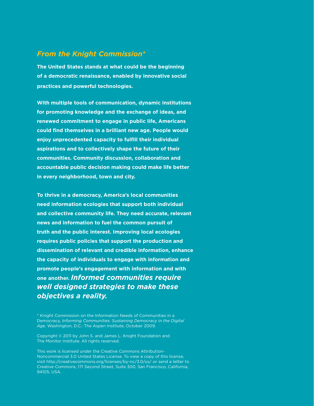# *From the Knight Commission\**

**The United States stands at what could be the beginning of a democratic renaissance, enabled by innovative social practices and powerful technologies.**

**With multiple tools of communication, dynamic institutions for promoting knowledge and the exchange of ideas, and renewed commitment to engage in public life, Americans could find themselves in a brilliant new age. People would enjoy unprecedented capacity to fulfill their individual aspirations and to collectively shape the future of their communities. Community discussion, collaboration and accountable public decision making could make life better in every neighborhood, town and city.**

**To thrive in a democracy, America's local communities need information ecologies that support both individual and collective community life. They need accurate, relevant news and information to fuel the common pursuit of truth and the public interest. Improving local ecologies requires public policies that support the production and dissemination of relevant and credible information, enhance the capacity of individuals to engage with information and promote people's engagement with information and with one another.** *Informed communities require well designed strategies to make these objectives a reality.*

\* Knight Commission on the Information Needs of Communities in a Democracy, *Informing Communities: Sustaining Democracy in the Digital Age,* Washington, D.C.: The Aspen Institute, October 2009.

Copyright © 2011 by John S. and James L. Knight Foundation and The Monitor Institute. All rights reserved.

This work is licensed under the Creative Commons Attribution-Noncommercial 3.0 United States License. To view a copy of this license, visit http://creativecommons.org/licenses/by-nc/3.0/us/ or send a letter to Creative Commons, 171 Second Street, Suite 300, San Francisco, California, 94105, USA.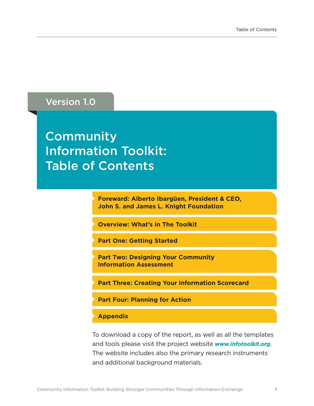# Version 1.0

# **Community** Information Toolkit: Table of Contents

**Foreward: Alberto Ibargüen, President & CEO, John S. and James L. Knight Foundation**

**Overview: What's in The Toolkit**

**Part One: Getting Started**

**Part Two: Designing Your Community Information Assessment**

**Part Three: Creating Your Information Scorecard**

**Part Four: Planning for Action**

**Appendix**

To download a copy of the report, as well as all the templates and tools please visit the project website *www.infotoolkit.org.*  The website includes also the primary research instruments and additional background materials.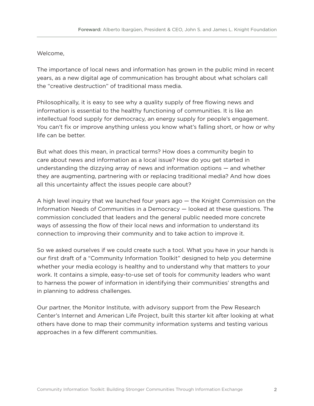# Welcome,

The importance of local news and information has grown in the public mind in recent years, as a new digital age of communication has brought about what scholars call the "creative destruction" of traditional mass media.

Philosophically, it is easy to see why a quality supply of free flowing news and information is essential to the healthy functioning of communities. It is like an intellectual food supply for democracy, an energy supply for people's engagement. You can't fix or improve anything unless you know what's falling short, or how or why life can be better.

But what does this mean, in practical terms? How does a community begin to care about news and information as a local issue? How do you get started in understanding the dizzying array of news and information options — and whether they are augmenting, partnering with or replacing traditional media? And how does all this uncertainty affect the issues people care about?

A high level inquiry that we launched four years ago — the Knight Commission on the Information Needs of Communities in a Democracy — looked at these questions. The commission concluded that leaders and the general public needed more concrete ways of assessing the flow of their local news and information to understand its connection to improving their community and to take action to improve it.

So we asked ourselves if we could create such a tool. What you have in your hands is our first draft of a "Community Information Toolkit" designed to help you determine whether your media ecology is healthy and to understand why that matters to your work. It contains a simple, easy-to-use set of tools for community leaders who want to harness the power of information in identifying their communities' strengths and in planning to address challenges.

Our partner, the Monitor Institute, with advisory support from the Pew Research Center's Internet and American Life Project, built this starter kit after looking at what others have done to map their community information systems and testing various approaches in a few different communities.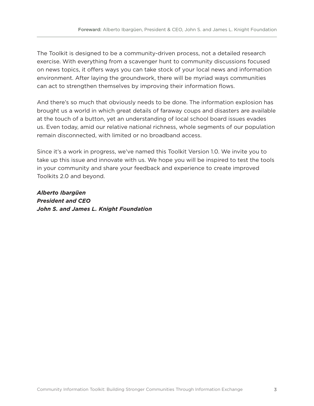The Toolkit is designed to be a community-driven process, not a detailed research exercise. With everything from a scavenger hunt to community discussions focused on news topics, it offers ways you can take stock of your local news and information environment. After laying the groundwork, there will be myriad ways communities can act to strengthen themselves by improving their information flows.

And there's so much that obviously needs to be done. The information explosion has brought us a world in which great details of faraway coups and disasters are available at the touch of a button, yet an understanding of local school board issues evades us. Even today, amid our relative national richness, whole segments of our population remain disconnected, with limited or no broadband access.

Since it's a work in progress, we've named this Toolkit Version 1.0. We invite you to take up this issue and innovate with us. We hope you will be inspired to test the tools in your community and share your feedback and experience to create improved Toolkits 2.0 and beyond.

*Alberto Ibargüen President and CEO John S. and James L. Knight Foundation*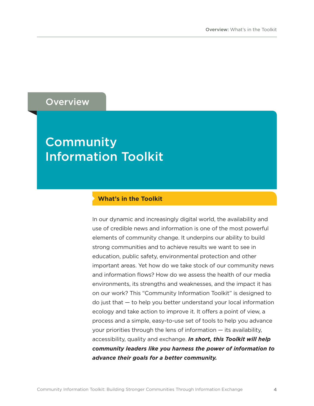# **Overview**

# Community Information Toolkit

# **What's in the Toolkit**

In our dynamic and increasingly digital world, the availability and use of credible news and information is one of the most powerful elements of community change. It underpins our ability to build strong communities and to achieve results we want to see in education, public safety, environmental protection and other important areas. Yet how do we take stock of our community news and information flows? How do we assess the health of our media environments, its strengths and weaknesses, and the impact it has on our work? This "Community Information Toolkit" is designed to do just that — to help you better understand your local information ecology and take action to improve it. It offers a point of view, a process and a simple, easy-to-use set of tools to help you advance your priorities through the lens of information — its availability, accessibility, quality and exchange. *In short, this Toolkit will help community leaders like you harness the power of information to advance their goals for a better community.*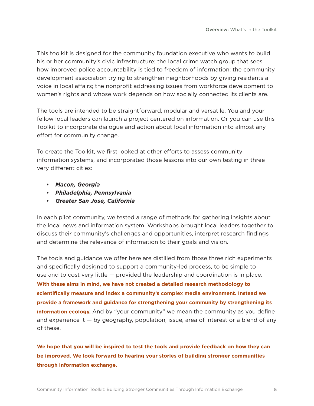This toolkit is designed for the community foundation executive who wants to build his or her community's civic infrastructure; the local crime watch group that sees how improved police accountability is tied to freedom of information; the community development association trying to strengthen neighborhoods by giving residents a voice in local affairs; the nonprofit addressing issues from workforce development to women's rights and whose work depends on how socially connected its clients are.

The tools are intended to be straightforward, modular and versatile. You and your fellow local leaders can launch a project centered on information. Or you can use this Toolkit to incorporate dialogue and action about local information into almost any effort for community change.

To create the Toolkit, we first looked at other efforts to assess community information systems, and incorporated those lessons into our own testing in three very different cities:

- *• Macon, Georgia*
- *• Philadelphia, Pennsylvania*
- *• Greater San Jose, California*

In each pilot community, we tested a range of methods for gathering insights about the local news and information system. Workshops brought local leaders together to discuss their community's challenges and opportunities, interpret research findings and determine the relevance of information to their goals and vision.

The tools and guidance we offer here are distilled from those three rich experiments and specifically designed to support a community-led process, to be simple to use and to cost very little — provided the leadership and coordination is in place. **With these aims in mind, we have not created a detailed research methodology to scientifically measure and index a community's complex media environment. Instead we provide a framework and guidance for strengthening your community by strengthening its information ecology.** And by "your community" we mean the community as you define and experience it  $-$  by geography, population, issue, area of interest or a blend of any of these.

**We hope that you will be inspired to test the tools and provide feedback on how they can be improved. We look forward to hearing your stories of building stronger communities through information exchange.**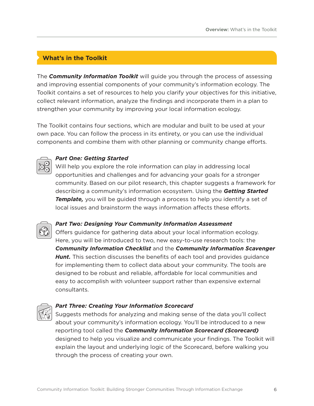# **What's in the Toolkit**

The *Community Information Toolkit* will guide you through the process of assessing and improving essential components of your community's information ecology. The Toolkit contains a set of resources to help you clarify your objectives for this initiative, collect relevant information, analyze the findings and incorporate them in a plan to strengthen your community by improving your local information ecology.

The Toolkit contains four sections, which are modular and built to be used at your own pace. You can follow the process in its entirety, or you can use the individual components and combine them with other planning or community change efforts.



# *Part One: Getting Started*

Will help you explore the role information can play in addressing local opportunities and challenges and for advancing your goals for a stronger community. Based on our pilot research, this chapter suggests a framework for describing a community's information ecosystem. Using the *Getting Started Template,* you will be guided through a process to help you identify a set of local issues and brainstorm the ways information affects these efforts.



# *Part Two: Designing Your Community Information Assessment*

Offers guidance for gathering data about your local information ecology. Here, you will be introduced to two, new easy-to-use research tools: the *Community Information Checklist* and the *Community Information Scavenger Hunt.* This section discusses the benefits of each tool and provides guidance for implementing them to collect data about your community. The tools are designed to be robust and reliable, affordable for local communities and easy to accomplish with volunteer support rather than expensive external consultants.



# *Part Three: Creating Your Information Scorecard*

Suggests methods for analyzing and making sense of the data you'll collect about your community's information ecology. You'll be introduced to a new reporting tool called the *Community Information Scorecard (Scorecard)*  designed to help you visualize and communicate your findings. The Toolkit will explain the layout and underlying logic of the Scorecard, before walking you through the process of creating your own.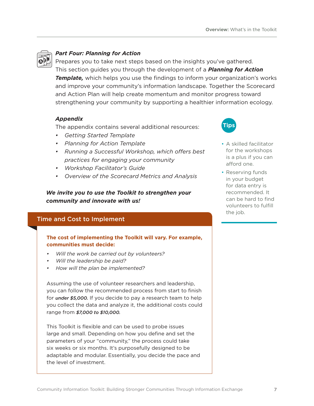

# *Part Four: Planning for Action*

Prepares you to take next steps based on the insights you've gathered. This section guides you through the development of a *Planning for Action Template,* which helps you use the findings to inform your organization's works and improve your community's information landscape. Together the Scorecard and Action Plan will help create momentum and monitor progress toward strengthening your community by supporting a healthier information ecology.

# *Appendix*

The appendix contains several additional resources:

- *• Getting Started Template*
- *• Planning for Action Template*
- *• Running a Successful Workshop, which offers best practices for engaging your community*
- *• Workshop Facilitator's Guide*
- *• Overview of the Scorecard Metrics and Analysis*

# *We invite you to use the Toolkit to strengthen your community and innovate with us!*

# Time and Cost to Implement

**The cost of implementing the Toolkit will vary. For example, communities must decide:** 

- *• Will the work be carried out by volunteers?*
- *• Will the leadership be paid?*
- *• How will the plan be implemented?*

Assuming the use of volunteer researchers and leadership, you can follow the recommended process from start to finish for *under \$5,000.* If you decide to pay a research team to help you collect the data and analyze it, the additional costs could range from *\$7,000 to \$10,000.* 

This Toolkit is flexible and can be used to probe issues large and small. Depending on how you define and set the parameters of your "community," the process could take six weeks or six months. It's purposefully designed to be adaptable and modular. Essentially, you decide the pace and the level of investment.



- A skilled facilitator for the workshops is a plus if you can afford one.
- Reserving funds in your budget for data entry is recommended. It can be hard to find volunteers to fulfill the job.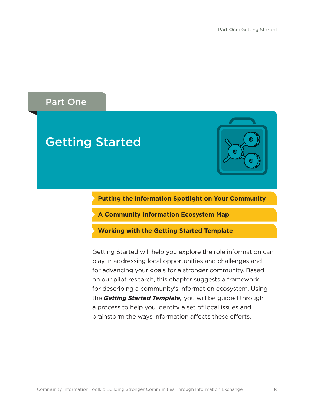# Part One

# Getting Started



# **Putting the Information Spotlight on Your Community**

**A Community Information Ecosystem Map**

**Working with the Getting Started Template**

Getting Started will help you explore the role information can play in addressing local opportunities and challenges and for advancing your goals for a stronger community. Based on our pilot research, this chapter suggests a framework for describing a community's information ecosystem. Using the *Getting Started Template,* you will be guided through a process to help you identify a set of local issues and brainstorm the ways information affects these efforts.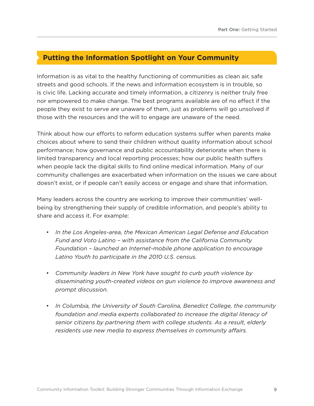# **Putting the Information Spotlight on Your Community**

Information is as vital to the healthy functioning of communities as clean air, safe streets and good schools. If the news and information ecosystem is in trouble, so is civic life. Lacking accurate and timely information, a citizenry is neither truly free nor empowered to make change. The best programs available are of no effect if the people they exist to serve are unaware of them, just as problems will go unsolved if those with the resources and the will to engage are unaware of the need.

Think about how our efforts to reform education systems suffer when parents make choices about where to send their children without quality information about school performance; how governance and public accountability deteriorate when there is limited transparency and local reporting processes; how our public health suffers when people lack the digital skills to find online medical information. Many of our community challenges are exacerbated when information on the issues we care about doesn't exist, or if people can't easily access or engage and share that information.

Many leaders across the country are working to improve their communities' wellbeing by strengthening their supply of credible information, and people's ability to share and access it. For example:

- *• In the Los Angeles-area, the Mexican American Legal Defense and Education Fund and Voto Latino – with assistance from the California Community Foundation – launched an Internet-mobile phone application to encourage Latino Youth to participate in the 2010 U.S. census.*
- *• Community leaders in New York have sought to curb youth violence by disseminating youth-created videos on gun violence to improve awareness and prompt discussion.*
- *• In Columbia, the University of South Carolina, Benedict College, the community foundation and media experts collaborated to increase the digital literacy of senior citizens by partnering them with college students. As a result, elderly residents use new media to express themselves in community affairs.*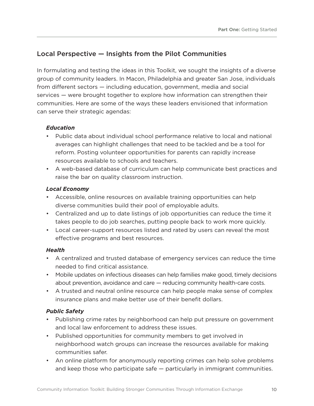# Local Perspective — Insights from the Pilot Communities

In formulating and testing the ideas in this Toolkit, we sought the insights of a diverse group of community leaders. In Macon, Philadelphia and greater San Jose, individuals from different sectors — including education, government, media and social services — were brought together to explore how information can strengthen their communities. Here are some of the ways these leaders envisioned that information can serve their strategic agendas:

# *Education*

- • Public data about individual school performance relative to local and national averages can highlight challenges that need to be tackled and be a tool for reform. Posting volunteer opportunities for parents can rapidly increase resources available to schools and teachers.
- • A web-based database of curriculum can help communicate best practices and raise the bar on quality classroom instruction.

# *Local Economy*

- • Accessible, online resources on available training opportunities can help diverse communities build their pool of employable adults.
- • Centralized and up to date listings of job opportunities can reduce the time it takes people to do job searches, putting people back to work more quickly.
- Local career-support resources listed and rated by users can reveal the most effective programs and best resources.

# *Health*

- • A centralized and trusted database of emergency services can reduce the time needed to find critical assistance.
- Mobile updates on infectious diseases can help families make good, timely decisions about prevention, avoidance and care — reducing community health-care costs.
- • A trusted and neutral online resource can help people make sense of complex insurance plans and make better use of their benefit dollars.

# *Public Safety*

- Publishing crime rates by neighborhood can help put pressure on government and local law enforcement to address these issues.
- • Published opportunities for community members to get involved in neighborhood watch groups can increase the resources available for making communities safer.
- An online platform for anonymously reporting crimes can help solve problems and keep those who participate safe — particularly in immigrant communities.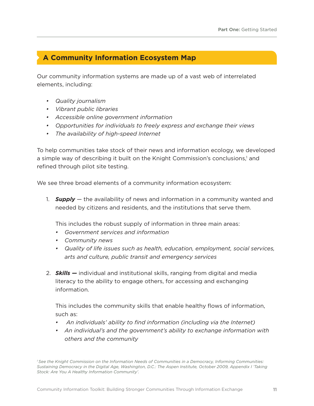# **A Community Information Ecosystem Map**

Our community information systems are made up of a vast web of interrelated elements, including:

- *• Quality journalism*
- *• Vibrant public libraries*
- *• Accessible online government information*
- *• Opportunities for individuals to freely express and exchange their views*
- *• The availability of high-speed Internet*

To help communities take stock of their news and information ecology, we developed a simple way of describing it built on the Knight Commission's conclusions,1 and refined through pilot site testing.

We see three broad elements of a community information ecosystem:

1. *Supply —* the availability of news and information in a community wanted and needed by citizens and residents, and the institutions that serve them.

This includes the robust supply of information in three main areas:

- *• Government services and information*
- *• Community news*
- *• Quality of life issues such as health, education, employment, social services, arts and culture, public transit and emergency services*
- 2. *Skills —* individual and institutional skills, ranging from digital and media literacy to the ability to engage others, for accessing and exchanging information.

This includes the community skills that enable healthy flows of information, such as:

- *• An individuals' ability to find information (including via the Internet)*
- *• An individual's and the government's ability to exchange information with others and the community*

*<sup>1</sup> See the Knight Commission on the Information Needs of Communities in a Democracy, Informing Communities: Sustaining Democracy in the Digital Age, Washington, D.C.: The Aspen Institute, October 2009, Appendix I 'Taking Stock: Are You A Healthy Information Community'.*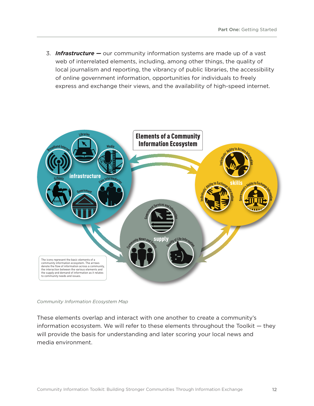3. *Infrastructure —* our community information systems are made up of a vast web of interrelated elements, including, among other things, the quality of local journalism and reporting, the vibrancy of public libraries, the accessibility of online government information, opportunities for individuals to freely express and exchange their views, and the availability of high-speed internet.



*Community Information Ecosystem Map*

These elements overlap and interact with one another to create a community's information ecosystem. We will refer to these elements throughout the Toolkit — they will provide the basis for understanding and later scoring your local news and media environment.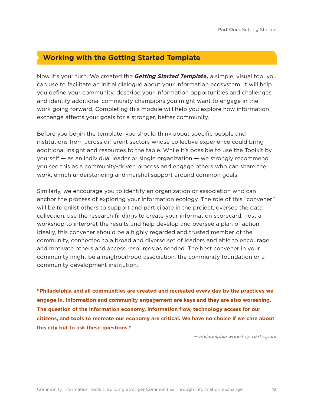# **Working with the Getting Started Template**

Now it's your turn. We created the *Getting Started Template,* a simple, visual tool you can use to facilitate an initial dialogue about your information ecosystem. It will help you define your community, describe your information opportunities and challenges and identify additional community champions you might want to engage in the work going forward. Completing this module will help you explore how information exchange affects your goals for a stronger, better community.

Before you begin the template, you should think about specific people and institutions from across different sectors whose collective experience could bring additional insight and resources to the table. While it's possible to use the Toolkit by yourself — as an individual leader or single organization — we strongly recommend you see this as a community-driven process and engage others who can share the work, enrich understanding and marshal support around common goals.

Similarly, we encourage you to identify an organization or association who can anchor the process of exploring your information ecology. The role of this "convener" will be to enlist others to support and participate in the project, oversee the data collection, use the research findings to create your information scorecard, host a workshop to interpret the results and help develop and oversee a plan of action. Ideally, this convener should be a highly regarded and trusted member of the community, connected to a broad and diverse set of leaders and able to encourage and motivate others and access resources as needed. The best convener in your community might be a neighborhood association, the community foundation or a community development institution.

**"Philadelphia and all communities are created and recreated every day by the practices we engage in. Information and community engagement are keys and they are also worsening. The question of the information economy, information flow, technology access for our citizens, and tools to recreate our economy are critical. We have no choice if we care about this city but to ask these questions."**

*— Philadelphia workshop participant*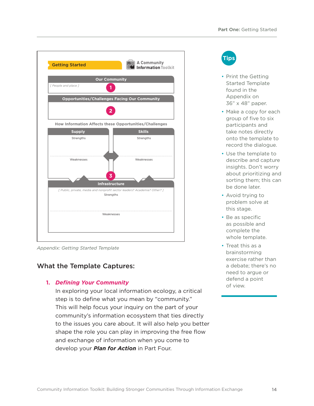| <b>Getting Started</b> | <b>A Community<br/>Information Toolkit</b>                                             |
|------------------------|----------------------------------------------------------------------------------------|
|                        | <b>Our Community</b>                                                                   |
| [ People and place ]   |                                                                                        |
|                        | <b>Opportunities/Challenges Facing Our Community</b>                                   |
|                        |                                                                                        |
|                        | How Information Affects these Opportunities/Challenges                                 |
| <b>Supply</b>          | <b>Skills</b>                                                                          |
| Strengths              | Strengths                                                                              |
| Weaknesses             | Weaknesses<br>3                                                                        |
|                        | <b>Infrastructure</b>                                                                  |
|                        | [ Public, private, media and nonprofit sector leaders? Academia? Other? ]<br>Strengths |
|                        | Weaknesses                                                                             |

*Appendix: Getting Started Template*

# What the Template Captures:

# **1.** *Defining Your Community*

In exploring your local information ecology, a critical step is to define what you mean by "community." This will help focus your inquiry on the part of your community's information ecosystem that ties directly to the issues you care about. It will also help you better shape the role you can play in improving the free flow and exchange of information when you come to develop your *Plan for Action* in Part Four.



- Print the Getting Started Template found in the Appendix on 36" x 48" paper.
- Make a copy for each group of five to six participants and take notes directly onto the template to record the dialogue.
- • Use the template to describe and capture insights. Don't worry about prioritizing and sorting them; this can be done later.
- Avoid trying to problem solve at this stage.
- Be as specific as possible and complete the whole template.
- Treat this as a brainstorming exercise rather than a debate; there's no need to argue or defend a point of view.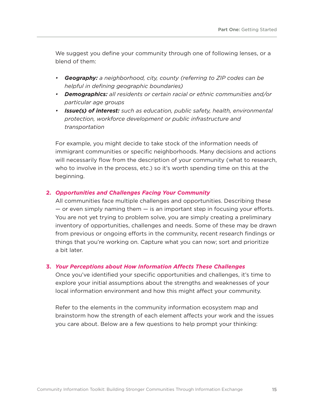We suggest you define your community through one of following lenses, or a blend of them:

- *• Geography: a neighborhood, city, county (referring to ZIP codes can be helpful in defining geographic boundaries)*
- *• Demographics: all residents or certain racial or ethnic communities and/or particular age groups*
- *• Issue(s) of interest: such as education, public safety, health, environmental protection, workforce development or public infrastructure and transportation*

For example, you might decide to take stock of the information needs of immigrant communities or specific neighborhoods. Many decisions and actions will necessarily flow from the description of your community (what to research, who to involve in the process, etc.) so it's worth spending time on this at the beginning.

# **2.** *Opportunities and Challenges Facing Your Community*

All communities face multiple challenges and opportunities. Describing these  $-$  or even simply naming them  $-$  is an important step in focusing your efforts. You are not yet trying to problem solve, you are simply creating a preliminary inventory of opportunities, challenges and needs. Some of these may be drawn from previous or ongoing efforts in the community, recent research findings or things that you're working on. Capture what you can now; sort and prioritize a bit later.

# **3.** *Your Perceptions about How Information Affects These Challenges*

Once you've identified your specific opportunities and challenges, it's time to explore your initial assumptions about the strengths and weaknesses of your local information environment and how this might affect your community.

Refer to the elements in the community information ecosystem map and brainstorm how the strength of each element affects your work and the issues you care about. Below are a few questions to help prompt your thinking: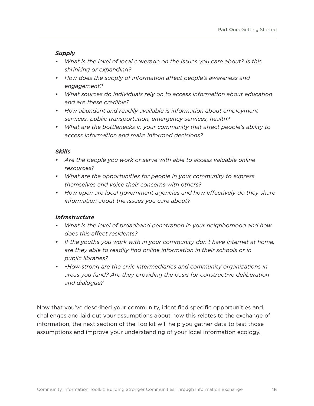### *Supply*

- *• What is the level of local coverage on the issues you care about? Is this shrinking or expanding?*
- *• How does the supply of information affect people's awareness and engagement?*
- *• What sources do individuals rely on to access information about education and are these credible?*
- *• How abundant and readily available is information about employment services, public transportation, emergency services, health?*
- *• What are the bottlenecks in your community that affect people's ability to access information and make informed decisions?*

# *Skills*

- *• Are the people you work or serve with able to access valuable online resources?*
- *• What are the opportunities for people in your community to express themselves and voice their concerns with others?*
- *• How open are local government agencies and how effectively do they share information about the issues you care about?*

# *Infrastructure*

- *• What is the level of broadband penetration in your neighborhood and how does this affect residents?*
- *• If the youths you work with in your community don't have Internet at home, are they able to readily find online information in their schools or in public libraries?*
- *• •How strong are the civic intermediaries and community organizations in areas you fund? Are they providing the basis for constructive deliberation and dialogue?*

Now that you've described your community, identified specific opportunities and challenges and laid out your assumptions about how this relates to the exchange of information, the next section of the Toolkit will help you gather data to test those assumptions and improve your understanding of your local information ecology.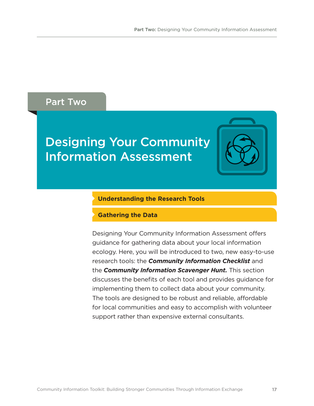# Part Two

# Designing Your Community Information Assessment

#### **Understanding the Research Tools**

### **Gathering the Data**

Designing Your Community Information Assessment offers guidance for gathering data about your local information ecology. Here, you will be introduced to two, new easy-to-use research tools: the *Community Information Checklist* and the *Community Information Scavenger Hunt.* This section discusses the benefits of each tool and provides guidance for implementing them to collect data about your community. The tools are designed to be robust and reliable, affordable for local communities and easy to accomplish with volunteer support rather than expensive external consultants.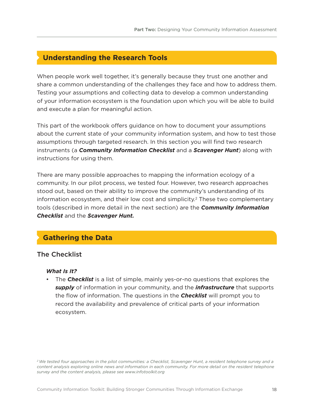# **Understanding the Research Tools**

When people work well together, it's generally because they trust one another and share a common understanding of the challenges they face and how to address them. Testing your assumptions and collecting data to develop a common understanding of your information ecosystem is the foundation upon which you will be able to build and execute a plan for meaningful action.

This part of the workbook offers guidance on how to document your assumptions about the current state of your community information system, and how to test those assumptions through targeted research. In this section you will find two research instruments (a *Community Information Checklist* and a *Scavenger Hunt*) along with instructions for using them.

There are many possible approaches to mapping the information ecology of a community. In our pilot process, we tested four. However, two research approaches stood out, based on their ability to improve the community's understanding of its information ecosystem, and their low cost and simplicity.<sup>2</sup> These two complementary tools (described in more detail in the next section) are the *Community Information Checklist* and the *Scavenger Hunt.*

# **Gathering the Data**

# The Checklist

# *What Is It?*

The **Checklist** is a list of simple, mainly yes-or-no questions that explores the *supply* of information in your community, and the *infrastructure* that supports the flow of information. The questions in the *Checklist* will prompt you to record the availability and prevalence of critical parts of your information ecosystem.

<sup>2</sup> We tested four approaches in the pilot communities: a Checklist, Scavenger Hunt, a resident telephone survey and a content analysis exploring online news and information in each community. For more detail on the resident telephone *survey and the content analysis, please see www.infotoolkit.org*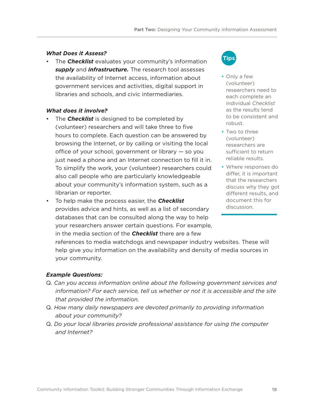# *What Does it Assess?*

• The *Checklist* evaluates your community's information *supply* and *infrastructure.* The research tool assesses the availability of Internet access, information about government services and activities, digital support in libraries and schools, and civic intermediaries.

# *What does it involve?*

- The **Checklist** is designed to be completed by (volunteer) researchers and will take three to five hours to complete. Each question can be answered by browsing the Internet, or by calling or visiting the local office of your school, government or library — so you just need a phone and an Internet connection to fill it in. To simplify the work, your (volunteer) researchers could also call people who are particularly knowledgeable about your community's information system, such as a librarian or reporter.
- To help make the process easier, the **Checklist** provides advice and hints, as well as a list of secondary databases that can be consulted along the way to help your researchers answer certain questions. For example, in the media section of the *Checklist* there are a few



- Only a few (volunteer) researchers need to each complete an individual *Checklist* as the results tend to be consistent and robust.
- Two to three (volunteer) researchers are sufficient to return reliable results.
- Where responses do differ, it is important that the researchers discuss why they got different results, and document this for discussion.

references to media watchdogs and newspaper industry websites. These will help give you information on the availability and density of media sources in your community.

# *Example Questions:*

- Q. *Can you access information online about the following government services and information? For each service, tell us whether or not it is accessible and the site that provided the information.*
- Q. *How many daily newspapers are devoted primarily to providing information about your community?*
- Q. *Do your local libraries provide professional assistance for using the computer and Internet?*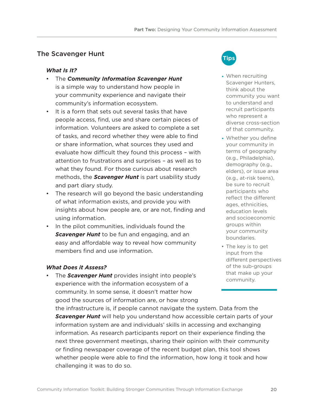# The Scavenger Hunt

# *What Is It?*

- The **Community Information Scavenger Hunt** is a simple way to understand how people in your community experience and navigate their community's information ecosystem.
- • It is a form that sets out several tasks that have people access, find, use and share certain pieces of information. Volunteers are asked to complete a set of tasks, and record whether they were able to find or share information, what sources they used and evaluate how difficult they found this process – with attention to frustrations and surprises – as well as to what they found. For those curious about research methods, the *Scavenger Hunt* is part usability study and part diary study.
- The research will go beyond the basic understanding of what information exists, and provide you with insights about how people are, or are not, finding and using information.
- • In the pilot communities, individuals found the **Scavenger Hunt** to be fun and engaging, and an easy and affordable way to reveal how community members find and use information.

# *What Does it Assess?*

The **Scavenger Hunt** provides insight into people's experience with the information ecosystem of a community. In some sense, it doesn't matter how good the sources of information are, or how strong

the infrastructure is, if people cannot navigate the system. Data from the *Scavenger Hunt* will help you understand how accessible certain parts of your information system are and individuals' skills in accessing and exchanging information. As research participants report on their experience finding the next three government meetings, sharing their opinion with their community or finding newspaper coverage of the recent budget plan, this tool shows whether people were able to find the information, how long it took and how challenging it was to do so.



- When recruiting Scavenger Hunters, think about the community you want to understand and recruit participants who represent a diverse cross-section of that community.
- Whether you define your community in terms of geography (e.g., Philadelphia), demography (e.g., elders), or issue area (e.g., at-risk teens), be sure to recruit participants who reflect the different ages, ethnicities, education levels and socioeconomic groups within your community boundaries.
- • The key is to get input from the different perspectives of the sub-groups that make up your community.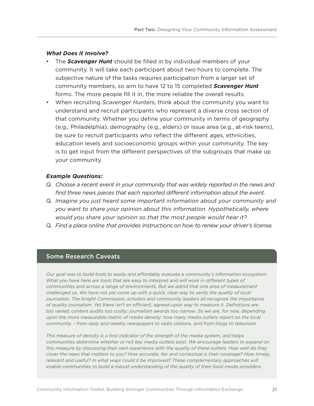#### *What Does it Involve?*

- The **Scavenger Hunt** should be filled in by individual members of your community. It will take each participant about two hours to complete. The subjective nature of the tasks requires participation from a larger set of community members, so aim to have 12 to 15 completed *Scavenger Hunt* forms. The more people fill it in, the more reliable the overall results.
- • When recruiting *Scavenger Hunters,* think about the community you want to understand and recruit participants who represent a diverse cross section of that community. Whether you define your community in terms of geography (e.g., Philadelphia), demography (e.g., elders) or issue area (e.g., at-risk teens), be sure to recruit participants who reflect the different ages, ethnicities, education levels and socioeconomic groups within your community. The key is to get input from the different perspectives of the subgroups that make up your community.

# *Example Questions:*

- Q. *Choose a recent event in your community that was widely reported in the news and find three news pieces that each reported different information about the event.*
- Q. *Imagine you just heard some important information about your community and you want to share your opinion about this information. Hypothetically, where would you share your opinion so that the most people would hear it?*
- Q. *Find a place online that provides instructions on how to renew your driver's license.*

#### Some Research Caveats

*Our goal was to build tools to easily and affordably evaluate a community's information ecosystem. What you have here are tools that are easy to interpret and will work in different types of communities and across a range of environments. But we admit that one area of measurement* challenged us. We have not yet come up with a quick, clear way to verify the quality of local *journalism. The Knight Commission, scholars and community leaders all recognize the importance of quality journalism. Yet there isn't an efficient, agreed-upon way to measure it. Definitions are too varied; content audits too costly; journalism awards too narrow. So we are, for now, depending upon the more measurable metric of media density: how many media outlets report on the local community – from daily and weekly newspapers to radio stations, and from blogs to television.*

*This measure of density is a first indicator of the strength of the media system, and helps communities determine whether or not key media outlets exist. We encourage leaders to expand on this measure by discussing their own experience with the quality of these outlets: How well do they cover the news that matters to you? How accurate, fair and contextual is their coverage? How timely, relevant and useful? In what ways could it be improved? These complementary approaches will enable communities to build a robust understanding of the quality of their local media providers.*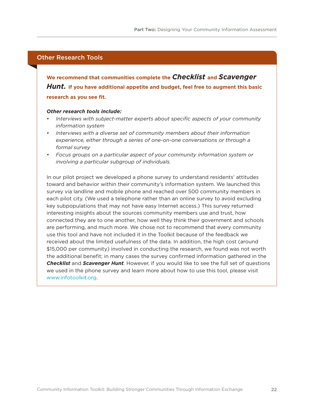# Other Research Tools

**We recommend that communities complete the** *Checklist* **and** *Scavenger Hunt.* **If you have additional appetite and budget, feel free to augment this basic research as you see fit.** 

#### *Other research tools include:*

- *• Interviews with subject-matter experts about specific aspects of your community information system*
- *• Interviews with a diverse set of community members about their information experience, either through a series of one-on-one conversations or through a formal survey*
- *• Focus groups on a particular aspect of your community information system or involving a particular subgroup of individuals.*

In our pilot project we developed a phone survey to understand residents' attitudes toward and behavior within their community's information system. We launched this survey via landline and mobile phone and reached over 500 community members in each pilot city. (We used a telephone rather than an online survey to avoid excluding key subpopulations that may not have easy Internet access.) This survey returned interesting insights about the sources community members use and trust, how connected they are to one another, how well they think their government and schools are performing, and much more. We chose not to recommend that every community use this tool and have not included it in the Toolkit because of the feedback we received about the limited usefulness of the data. In addition, the high cost (around \$15,000 per community) involved in conducting the research, we found was not worth the additional benefit; in many cases the survey confirmed information gathered in the *Checklist* and *Scavenger Hunt.* However, if you would like to see the full set of questions we used in the phone survey and learn more about how to use this tool, please visit www.infotoolkit.org.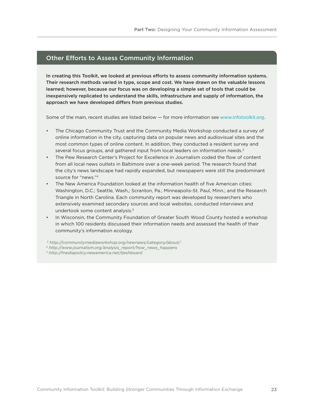#### Other Efforts to Assess Community Information

In creating this Toolkit, we looked at previous efforts to assess community information systems. Their research methods varied in type, scope and cost. We have drawn on the valuable lessons learned; however, because our focus was on developing a simple set of tools that could be inexpensively replicated to understand the skills, infrastructure and supply of information, the approach we have developed differs from previous studies.

Some of the main, recent studies are listed below — for more information see www.infotoolkit.org.

- The Chicago Community Trust and the Community Media Workshop conducted a survey of online information in the city, capturing data on popular news and audiovisual sites and the most common types of online content. In addition, they conducted a resident survey and several focus groups, and gathered input from local leaders on information needs.<sup>3</sup>
- The Pew Research Center's Project for Excellence in Journalism coded the flow of content from all local news outlets in Baltimore over a one-week period. The research found that the city's news landscape had rapidly expanded, but newspapers were still the predominant source for "news."4
- The New America Foundation looked at the information health of five American cities: Washington, D.C.; Seattle, Wash,; Scranton, Pa.; Minneapolis-St. Paul, Minn.; and the Research Triangle in North Carolina. Each community report was developed by researchers who extensively examined secondary sources and local websites, conducted interviews and undertook some content analysis.<sup>5</sup>
- In Wisconsin, the Community Foundation of Greater South Wood County hosted a workshop in which 100 residents discussed their information needs and assessed the health of their community's information ecology.

*<sup>3</sup> http://communitymediaworkshop.org/newnews/category/about/*

*<sup>4</sup> http://www.journalism.org/analysis\_report/how\_news\_happens*

*<sup>5</sup> http://mediapolicy.newamerica.net/dashboard*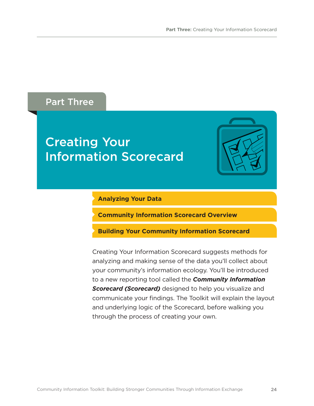# Part Three

# Creating Your Information Scorecard

# **Analyzing Your Data**

**Community Information Scorecard Overview**

**Building Your Community Information Scorecard**

Creating Your Information Scorecard suggests methods for analyzing and making sense of the data you'll collect about your community's information ecology. You'll be introduced to a new reporting tool called the *Community Information*  **Scorecard (Scorecard)** designed to help you visualize and communicate your findings. The Toolkit will explain the layout and underlying logic of the Scorecard, before walking you through the process of creating your own.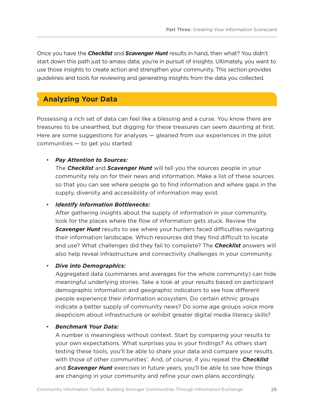Once you have the *Checklist* and *Scavenger Hunt* results in hand, then what? You didn't start down this path just to amass data; you're in pursuit of insights. Ultimately, you want to use those insights to create action and strengthen your community. This section provides guidelines and tools for reviewing and generating insights from the data you collected.

# **Analyzing Your Data**

Possessing a rich set of data can feel like a blessing and a curse. You know there are treasures to be unearthed, but digging for these treasures can seem daunting at first. Here are some suggestions for analyses — gleaned from our experiences in the pilot communities — to get you started:

# *• Pay Attention to Sources:*

The *Checklist* and *Scavenger Hunt* will tell you the sources people in your community rely on for their news and information. Make a list of these sources so that you can see where people go to find information and where gaps in the supply, diversity and accessibility of information may exist.

### *• Identify Information Bottlenecks:*

After gathering insights about the supply of information in your community, look for the places where the flow of information gets stuck. Review the *Scavenger Hunt* results to see where your hunters faced difficulties navigating their information landscape. Which resources did they find difficult to locate and use? What challenges did they fail to complete? The *Checklist* answers will also help reveal infrastructure and connectivity challenges in your community.

#### *• Dive into Demographics:*

Aggregated data (summaries and averages for the whole community) can hide meaningful underlying stories. Take a look at your results based on participant demographic information and geographic indicators to see how different people experience their information ecosystem. Do certain ethnic groups indicate a better supply of community news? Do some age groups voice more skepticism about infrastructure or exhibit greater digital media literacy skills?

#### *• Benchmark Your Data:*

A number is meaningless without context. Start by comparing your results to your own expectations. What surprises you in your findings? As others start testing these tools, you'll be able to share your data and compare your results with those of other communities'. And, of course, if you repeat the *Checklist*  and *Scavenger Hunt* exercises in future years, you'll be able to see how things are changing in your community and refine your own plans accordingly.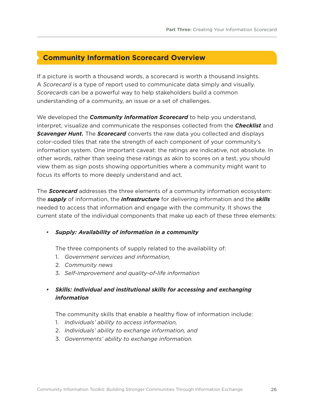# **Community Information Scorecard Overview**

If a picture is worth a thousand words, a scorecard is worth a thousand insights. A *Scorecard* is a type of report used to communicate data simply and visually. *Scorecards* can be a powerful way to help stakeholders build a common understanding of a community, an issue or a set of challenges.

We developed the *Community Information Scorecard* to help you understand, interpret, visualize and communicate the responses collected from the *Checklist* and *Scavenger Hunt.* The *Scorecard* converts the raw data you collected and displays color-coded tiles that rate the strength of each component of your community's information system. One important caveat: the ratings are indicative, not absolute. In other words, rather than seeing these ratings as akin to scores on a test, you should view them as sign posts showing opportunities where a community might want to focus its efforts to more deeply understand and act.

The *Scorecard* addresses the three elements of a community information ecosystem: the *supply* of information, the *infrastructure* for delivering information and the *skills* needed to access that information and engage with the community. It shows the current state of the individual components that make up each of these three elements:

# *• Supply: Availability of information in a community*

The three components of supply related to the availability of:

- 1. *Government services and information,*
- 2. *Community news*
- 3. *Self-improvement and quality-of-life information*

# *• Skills: Individual and institutional skills for accessing and exchanging information*

The community skills that enable a healthy flow of information include:

- 1. *Individuals' ability to access information,*
- 2. *Individuals' ability to exchange information, and*
- 3. *Governments' ability to exchange information.*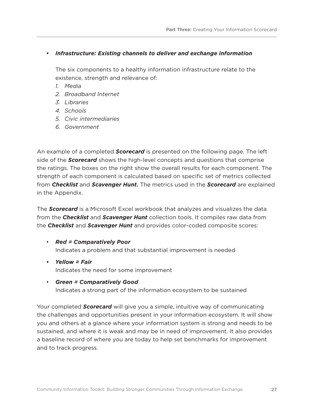# *• Infrastructure: Existing channels to deliver and exchange information*

The six components to a healthy information infrastructure relate to the existence, strength and relevance of:

- *1. Media*
- *2. Broadband Internet*
- *3. Libraries*
- *4. Schools*
- *5. Civic intermediaries*
- *6. Government*

An example of a completed *Scorecard* is presented on the following page. The left side of the *Scorecard* shows the high-level concepts and questions that comprise the ratings. The boxes on the right show the overall results for each component. The strength of each component is calculated based on specific set of metrics collected from *Checklist* and *Scavenger Hunt.* The metrics used in the *Scorecard* are explained in the Appendix.

The *Scorecard* is a Microsoft Excel workbook that analyzes and visualizes the data from the *Checklist* and *Scavenger Hunt* collection tools. It compiles raw data from the *Checklist* and *Scavenger Hunt* and provides color-coded composite scores:

- *• Red = Comparatively Poor* Indicates a problem and that substantial improvement is needed
- *• Yellow = Fair* Indicates the need for some improvement
- *• Green = Comparatively Good* Indicates a strong part of the information ecosystem to be sustained

Your completed *Scorecard* will give you a simple, intuitive way of communicating the challenges and opportunities present in your information ecosystem. It will show you and others at a glance where your information system is strong and needs to be sustained, and where it is weak and may be in need of improvement. It also provides a baseline record of where you are today to help set benchmarks for improvement and to track progress.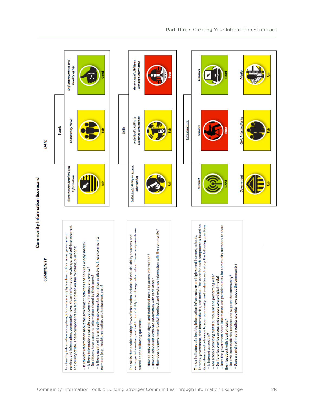|                  |               | Self-improvement and<br>Quality of Life                                                                                                                                                                                                                                          | ទី<br>ទី                                                                                                                                                                                                                                                                                                                                                                                   |               | <b>Government's Ability to</b><br><b>Exchange Information</b>                                                                                                                                                                         |                                                                                                                                                                                                                                           |                | Libraries<br>ទី                                                                                                                                                                                                                                                                                                                                                                                                                                                                                                                                                                                                                                                                                                                                               | Media<br>ż                  |
|------------------|---------------|----------------------------------------------------------------------------------------------------------------------------------------------------------------------------------------------------------------------------------------------------------------------------------|--------------------------------------------------------------------------------------------------------------------------------------------------------------------------------------------------------------------------------------------------------------------------------------------------------------------------------------------------------------------------------------------|---------------|---------------------------------------------------------------------------------------------------------------------------------------------------------------------------------------------------------------------------------------|-------------------------------------------------------------------------------------------------------------------------------------------------------------------------------------------------------------------------------------------|----------------|---------------------------------------------------------------------------------------------------------------------------------------------------------------------------------------------------------------------------------------------------------------------------------------------------------------------------------------------------------------------------------------------------------------------------------------------------------------------------------------------------------------------------------------------------------------------------------------------------------------------------------------------------------------------------------------------------------------------------------------------------------------|-----------------------------|
| DATE             | <b>Nugung</b> | <b>Community News</b>                                                                                                                                                                                                                                                            | ā                                                                                                                                                                                                                                                                                                                                                                                          | <b>Skills</b> | Individual's Ability to<br><b>Exchange</b> Information                                                                                                                                                                                | ż                                                                                                                                                                                                                                         | Infrastructure | Schools                                                                                                                                                                                                                                                                                                                                                                                                                                                                                                                                                                                                                                                                                                                                                       | <b>Civic Intermediaries</b> |
|                  |               | <b>Government Services and</b><br>Information                                                                                                                                                                                                                                    |                                                                                                                                                                                                                                                                                                                                                                                            |               | Individuals' Ability to Access<br>Information                                                                                                                                                                                         | è                                                                                                                                                                                                                                         |                | Internet<br>Good                                                                                                                                                                                                                                                                                                                                                                                                                                                                                                                                                                                                                                                                                                                                              | Government<br>à             |
| <b>COMMUNITY</b> |               | services and information, community news, citizen information exchange, and self-improvement<br>In a healthy information ecosystem, information supply is robust in four areas: government<br>and quality of life. These components are scored based on the following questions: | -- Is there quality of life and self-improvement information available to these community<br>- Is relevant information about the government activities and services widely shared?<br>-- Is there information available about community news and events?<br>-- Do citizens have access to information shared by their peers?<br>members (e.g., health, recreation, adult education, etc.)? |               | exchange information, and institutions' ability to exchange information. These components are<br>The skills that enable healthy flows of information include individuals' ability to access and<br>scored on the following questions: | -- How does the government solicit feedback and exchange information with the community?<br>-- How do individuals use digital and traditional media to access information?<br>-- How do individuals exchange information with each other? |                | its existence and relevance to your community, and evaluates each along the following questions:<br>libraries, government, civic intermediaries, and media. The score for each component is based on<br>for community members to share<br>The six indicators of a healthy information infrastructure are high-speed internet, schools,<br>-- Does a variety of media outlets provide news about the community?<br>-- Are schools providing digital curriculum and performing well?<br>-- Do civic intermediaries connect and support the community?<br>-- Do libraries provide access and support to use digital media?<br>-- Does the government share information and provide outlets<br>their feedback with local officials?<br>-- Is Internet accessible? |                             |

Community Information Scorecard

Community Information Toolkit: Building Stronger Communities Through Information Exchange 28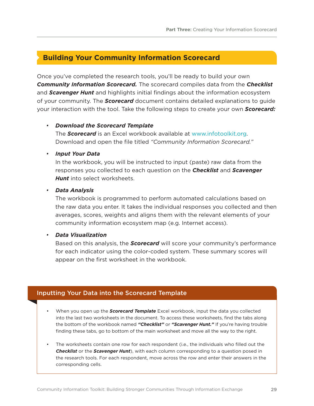# **Building Your Community Information Scorecard**

Once you've completed the research tools, you'll be ready to build your own *Community Information Scorecard.* The scorecard compiles data from the *Checklist* and *Scavenger Hunt* and highlights initial findings about the information ecosystem of your community. The *Scorecard* document contains detailed explanations to guide your interaction with the tool. Take the following steps to create your own *Scorecard:*

#### *• Download the Scorecard Template*

The *Scorecard* is an Excel workbook available at www.infotoolkit.org. Download and open the file titled *"Community Information Scorecard."* 

#### *• Input Your Data*

In the workbook, you will be instructed to input (paste) raw data from the responses you collected to each question on the *Checklist* and *Scavenger Hunt* into select worksheets.

#### *• Data Analysis*

The workbook is programmed to perform automated calculations based on the raw data you enter. It takes the individual responses you collected and then averages, scores, weights and aligns them with the relevant elements of your community information ecosystem map (e.g. Internet access).

### *• Data Visualization*

Based on this analysis, the *Scorecard* will score your community's performance for each indicator using the color-coded system. These summary scores will appear on the first worksheet in the workbook.

# Inputting Your Data into the Scorecard Template

- When you open up the **Scorecard Template** Excel workbook, input the data you collected into the last two worksheets in the document. To access these worksheets, find the tabs along the bottom of the workbook named *"Checklist"* or *"Scavenger Hunt."* If you're having trouble finding these tabs, go to bottom of the main worksheet and move all the way to the right.
- The worksheets contain one row for each respondent (i.e., the individuals who filled out the *Checklist* or the *Scavenger Hunt*), with each column corresponding to a question posed in the research tools. For each respondent, move across the row and enter their answers in the corresponding cells.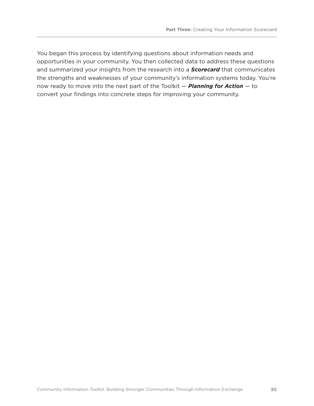You began this process by identifying questions about information needs and opportunities in your community. You then collected data to address these questions and summarized your insights from the research into a *Scorecard* that communicates the strengths and weaknesses of your community's information systems today. You're now ready to move into the next part of the Toolkit — *Planning for Action* — to convert your findings into concrete steps for improving your community.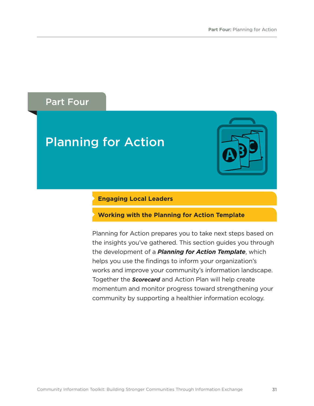# Part Four

# Planning for Action



# **Engaging Local Leaders**

# **Working with the Planning for Action Template**

Planning for Action prepares you to take next steps based on the insights you've gathered. This section guides you through the development of a *Planning for Action Template*, which helps you use the findings to inform your organization's works and improve your community's information landscape. Together the *Scorecard* and Action Plan will help create momentum and monitor progress toward strengthening your community by supporting a healthier information ecology.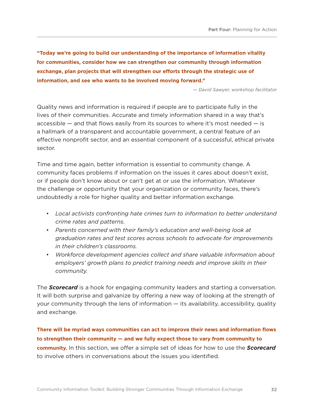**"Today we're going to build our understanding of the importance of information vitality for communities, consider how we can strengthen our community through information exchange, plan projects that will strengthen our efforts through the strategic use of information, and see who wants to be involved moving forward."**

*— David Sawyer, workshop facilitator*

Quality news and information is required if people are to participate fully in the lives of their communities. Accurate and timely information shared in a way that's accessible  $-$  and that flows easily from its sources to where it's most needed  $-$  is a hallmark of a transparent and accountable government, a central feature of an effective nonprofit sector, and an essential component of a successful, ethical private sector.

Time and time again, better information is essential to community change. A community faces problems if information on the issues it cares about doesn't exist, or if people don't know about or can't get at or use the information. Whatever the challenge or opportunity that your organization or community faces, there's undoubtedly a role for higher quality and better information exchange.

- *• Local activists confronting hate crimes turn to information to better understand crime rates and patterns.*
- *• Parents concerned with their family's education and well-being look at graduation rates and test scores across schools to advocate for improvements in their children's classrooms.*
- *• Workforce development agencies collect and share valuable information about employers' growth plans to predict training needs and improve skills in their community.*

The *Scorecard* is a hook for engaging community leaders and starting a conversation. It will both surprise and galvanize by offering a new way of looking at the strength of your community through the lens of information — its availability, accessibility, quality and exchange.

**There will be myriad ways communities can act to improve their news and information flows to strengthen their community — and we fully expect those to vary from community to community.** In this section, we offer a simple set of ideas for how to use the *Scorecard* to involve others in conversations about the issues you identified.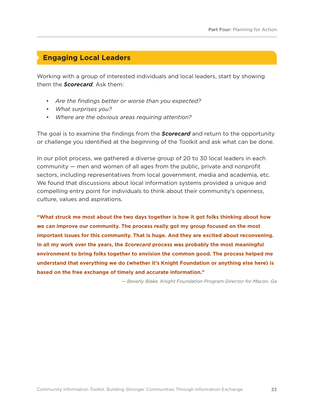# **Engaging Local Leaders**

Working with a group of interested individuals and local leaders, start by showing them the *Scorecard.* Ask them:

- • *Are the findings better or worse than you expected?*
- *• What surprises you?*
- *• Where are the obvious areas requiring attention?*

The goal is to examine the findings from the *Scorecard* and return to the opportunity or challenge you identified at the beginning of the Toolkit and ask what can be done.

In our pilot process, we gathered a diverse group of 20 to 30 local leaders in each community — men and women of all ages from the public, private and nonprofit sectors, including representatives from local government, media and academia, etc. We found that discussions about local information systems provided a unique and compelling entry point for individuals to think about their community's openness, culture, values and aspirations.

**"What struck me most about the two days together is how it got folks thinking about how we can improve our community. The process really got my group focused on the most important issues for this community. That is huge. And they are excited about reconvening. In all my work over the years, the** *Scorecard* **process was probably the most meaningful environment to bring folks together to envision the common good. The process helped me understand that everything we do (whether it's Knight Foundation or anything else here) is based on the free exchange of timely and accurate information."**

*— Beverly Blake, Knight Foundation Program Director for Macon, Ga*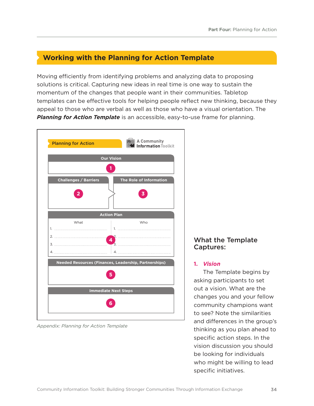# **Working with the Planning for Action Template**

Moving efficiently from identifying problems and analyzing data to proposing solutions is critical. Capturing new ideas in real time is one way to sustain the momentum of the changes that people want in their communities. Tabletop templates can be effective tools for helping people reflect new thinking, because they appeal to those who are verbal as well as those who have a visual orientation. The *Planning for Action Template* is an accessible, easy-to-use frame for planning.

| <b>Planning for Action</b>                                                                                                                                                                                                                                                                                                     |                             | <b>A Community<br/>Information Toolkit</b>            |
|--------------------------------------------------------------------------------------------------------------------------------------------------------------------------------------------------------------------------------------------------------------------------------------------------------------------------------|-----------------------------|-------------------------------------------------------|
|                                                                                                                                                                                                                                                                                                                                | <b>Our Vision</b>           |                                                       |
|                                                                                                                                                                                                                                                                                                                                |                             |                                                       |
| <b>Challenges / Barriers</b>                                                                                                                                                                                                                                                                                                   |                             | The Role of Information                               |
|                                                                                                                                                                                                                                                                                                                                | <b>Action Plan</b>          |                                                       |
| What<br>$2.$ $\frac{1}{2}$ $\frac{1}{2}$ $\frac{1}{2}$ $\frac{1}{2}$ $\frac{1}{2}$ $\frac{1}{2}$ $\frac{1}{2}$ $\frac{1}{2}$ $\frac{1}{2}$ $\frac{1}{2}$ $\frac{1}{2}$ $\frac{1}{2}$ $\frac{1}{2}$ $\frac{1}{2}$ $\frac{1}{2}$ $\frac{1}{2}$ $\frac{1}{2}$ $\frac{1}{2}$ $\frac{1}{2}$ $\frac{1}{2}$ $\frac{1}{2}$ $\frac{1}{$ | 4                           | Who                                                   |
|                                                                                                                                                                                                                                                                                                                                |                             | Needed Resources (Finances, Leadership, Partnerships) |
|                                                                                                                                                                                                                                                                                                                                |                             |                                                       |
|                                                                                                                                                                                                                                                                                                                                | <b>Immediate Next Steps</b> |                                                       |
|                                                                                                                                                                                                                                                                                                                                |                             |                                                       |
|                                                                                                                                                                                                                                                                                                                                |                             |                                                       |

*Appendix: Planning for Action Template*

# What the Template Captures:

#### **1.** *Vision*

The Template begins by asking participants to set out a vision. What are the changes you and your fellow community champions want to see? Note the similarities and differences in the group's thinking as you plan ahead to specific action steps. In the vision discussion you should be looking for individuals who might be willing to lead specific initiatives.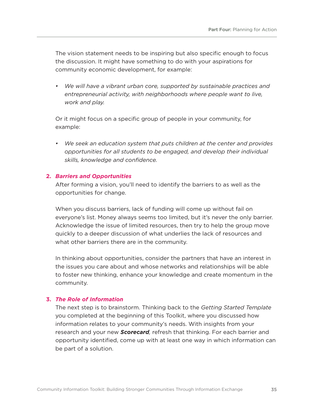The vision statement needs to be inspiring but also specific enough to focus the discussion. It might have something to do with your aspirations for community economic development, for example:

*• We will have a vibrant urban core, supported by sustainable practices and entrepreneurial activity, with neighborhoods where people want to live, work and play.*

Or it might focus on a specific group of people in your community, for example:

*• We seek an education system that puts children at the center and provides opportunities for all students to be engaged, and develop their individual skills, knowledge and confidence.*

# **2.** *Barriers and Opportunities*

After forming a vision, you'll need to identify the barriers to as well as the opportunities for change.

When you discuss barriers, lack of funding will come up without fail on everyone's list. Money always seems too limited, but it's never the only barrier. Acknowledge the issue of limited resources, then try to help the group move quickly to a deeper discussion of what underlies the lack of resources and what other barriers there are in the community.

In thinking about opportunities, consider the partners that have an interest in the issues you care about and whose networks and relationships will be able to foster new thinking, enhance your knowledge and create momentum in the community.

#### **3.** *The Role of Information*

The next step is to brainstorm. Thinking back to the *Getting Started Template* you completed at the beginning of this Toolkit, where you discussed how information relates to your community's needs. With insights from your research and your new *Scorecard,* refresh that thinking. For each barrier and opportunity identified, come up with at least one way in which information can be part of a solution.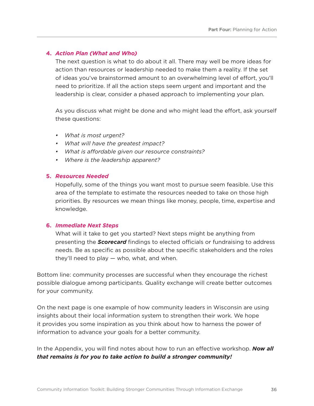#### **4.** *Action Plan (What and Who)*

The next question is what to do about it all. There may well be more ideas for action than resources or leadership needed to make them a reality. If the set of ideas you've brainstormed amount to an overwhelming level of effort, you'll need to prioritize. If all the action steps seem urgent and important and the leadership is clear, consider a phased approach to implementing your plan.

As you discuss what might be done and who might lead the effort, ask yourself these questions:

- *• What is most urgent?*
- *• What will have the greatest impact?*
- *• What is affordable given our resource constraints?*
- *• Where is the leadership apparent?*

#### **5.** *Resources Needed*

Hopefully, some of the things you want most to pursue seem feasible. Use this area of the template to estimate the resources needed to take on those high priorities. By resources we mean things like money, people, time, expertise and knowledge.

#### **6.** *Immediate Next Steps*

What will it take to get you started? Next steps might be anything from presenting the *Scorecard* findings to elected officials or fundraising to address needs. Be as specific as possible about the specific stakeholders and the roles they'll need to play — who, what, and when.

Bottom line: community processes are successful when they encourage the richest possible dialogue among participants. Quality exchange will create better outcomes for your community.

On the next page is one example of how community leaders in Wisconsin are using insights about their local information system to strengthen their work. We hope it provides you some inspiration as you think about how to harness the power of information to advance your goals for a better community.

In the Appendix, you will find notes about how to run an effective workshop. *Now all that remains is for you to take action to build a stronger community!*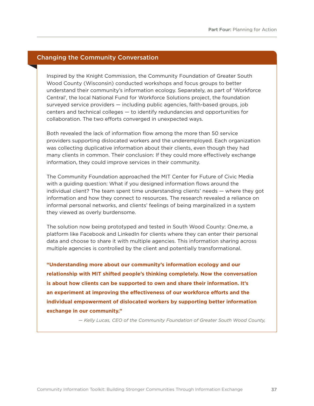# Changing the Community Conversation

Inspired by the Knight Commission, the Community Foundation of Greater South Wood County (Wisconsin) conducted workshops and focus groups to better understand their community's information ecology. Separately, as part of 'Workforce Central', the local National Fund for Workforce Solutions project, the foundation surveyed service providers — including public agencies, faith-based groups, job centers and technical colleges — to identify redundancies and opportunities for collaboration. The two efforts converged in unexpected ways.

Both revealed the lack of information flow among the more than 50 service providers supporting dislocated workers and the underemployed. Each organization was collecting duplicative information about their clients, even though they had many clients in common. Their conclusion: If they could more effectively exchange information, they could improve services in their community.

The Community Foundation approached the MIT Center for Future of Civic Media with a guiding question: What if you designed information flows around the individual client? The team spent time understanding clients' needs — where they got information and how they connect to resources. The research revealed a reliance on informal personal networks, and clients' feelings of being marginalized in a system they viewed as overly burdensome.

The solution now being prototyped and tested in South Wood County: One.me, a platform like Facebook and LinkedIn for clients where they can enter their personal data and choose to share it with multiple agencies. This information sharing across multiple agencies is controlled by the client and potentially transformational.

**"Understanding more about our community's information ecology and our relationship with MIT shifted people's thinking completely. Now the conversation is about how clients can be supported to own and share their information. It's an experiment at improving the effectiveness of our workforce efforts and the individual empowerment of dislocated workers by supporting better information exchange in our community."** 

*— Kelly Lucas, CEO of the Community Foundation of Greater South Wood County,*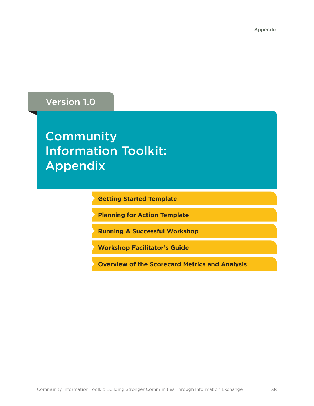Appendix

# Version 1.0

# **Community** Information Toolkit: Appendix

**Getting Started Template**

**Planning for Action Template**

**Running A Successful Workshop**

**Workshop Facilitator's Guide**

**Overview of the Scorecard Metrics and Analysis**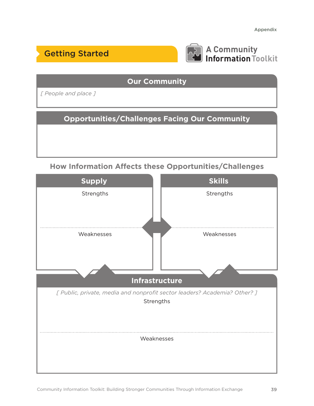# Getting Started



**A Community InformationToolkit**

# **Our Community**

*[ People and place ]*

**Opportunities/Challenges Facing Our Community**

# **How Information Affects these Opportunities/Challenges**

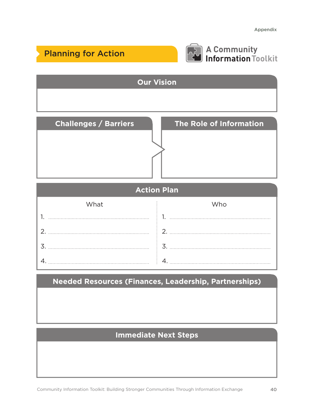# **Planning for Action 1999 12 A Community**



# **InformationToolkit**

# **Our Vision**

| <b>Challenges / Barriers</b> | <b>The Role of Information</b> |
|------------------------------|--------------------------------|
|                              |                                |
|                              |                                |
|                              |                                |

# **Action Plan**

| What | Who           |
|------|---------------|
|      |               |
|      | $\mathcal{D}$ |
|      |               |
|      |               |

# **Needed Resources (Finances, Leadership, Partnerships)**

# **Immediate Next Steps**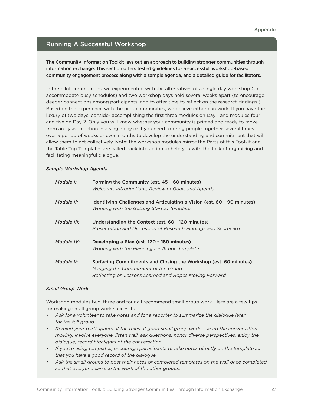# Running A Successful Workshop

#### The Community Information Toolkit lays out an approach to building stronger communities through information exchange. This section offers tested guidelines for a successful, workshop-based community engagement process along with a sample agenda, and a detailed guide for facilitators.

In the pilot communities, we experimented with the alternatives of a single day workshop (to accommodate busy schedules) and two workshop days held several weeks apart (to encourage deeper connections among participants, and to offer time to reflect on the research findings.) Based on the experience with the pilot communities, we believe either can work. If you have the luxury of two days, consider accomplishing the first three modules on Day 1 and modules four and five on Day 2. Only you will know whether your community is primed and ready to move from analysis to action in a single day or if you need to bring people together several times over a period of weeks or even months to develop the understanding and commitment that will allow them to act collectively. Note: the workshop modules mirror the Parts of this Toolkit and the Table Top Templates are called back into action to help you with the task of organizing and facilitating meaningful dialogue.

#### *Sample Workshop Agenda*

| Module I:   | Forming the Community (est. 45 - 60 minutes)<br>Welcome, Introductions, Review of Goals and Agenda                                                                |
|-------------|-------------------------------------------------------------------------------------------------------------------------------------------------------------------|
| Module II:  | Identifying Challenges and Articulating a Vision (est. 60 - 90 minutes)<br><i>Working with the Getting Started Template</i>                                       |
| Module III: | Understanding the Context (est. 60 - 120 minutes)<br>Presentation and Discussion of Research Findings and Scorecard                                               |
| Module IV:  | Developing a Plan (est. 120 - 180 minutes)<br>Working with the Planning for Action Template                                                                       |
| Module V:   | Surfacing Commitments and Closing the Workshop (est. 60 minutes)<br>Gauging the Commitment of the Group<br>Reflecting on Lessons Learned and Hopes Moving Forward |

#### *Small Group Work*

Workshop modules two, three and four all recommend small group work. Here are a few tips for making small group work successful.

- • *Ask for a volunteer to take notes and for a reporter to summarize the dialogue later for the full group.*
- *• Remind your participants of the rules of good small group work — keep the conversation moving, involve everyone, listen well, ask questions, honor diverse perspectives, enjoy the dialogue, record highlights of the conversation.*
- *• If you're using templates, encourage participants to take notes directly on the template so that you have a good record of the dialogue.*
- *• Ask the small groups to post their notes or completed templates on the wall once completed so that everyone can see the work of the other groups.*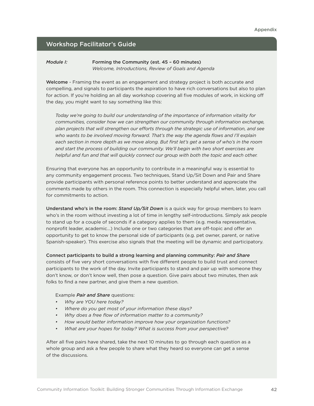# Workshop Facilitator's Guide

#### *Module I:* Forming the Community (est. 45 - 60 minutes) *Welcome, Introductions, Review of Goals and Agenda*

Welcome - Framing the event as an engagement and strategy project is both accurate and compelling, and signals to participants the aspiration to have rich conversations but also to plan for action. If you're holding an all day workshop covering all five modules of work, in kicking off the day, you might want to say something like this:

*Today we're going to build our understanding of the importance of information vitality for communities, consider how we can strengthen our community through information exchange, plan projects that will strengthen our efforts through the strategic use of information, and see who wants to be involved moving forward. That's the way the agenda flows and I'll explain* each section in more depth as we move along. But first let's get a sense of who's in the room *and start the process of building our community. We'll begin with two short exercises are helpful and fun and that will quickly connect our group with both the topic and each other.*

Ensuring that everyone has an opportunity to contribute in a meaningful way is essential to any community engagement process. Two techniques, Stand Up/Sit Down and Pair and Share provide participants with personal reference points to better understand and appreciate the comments made by others in the room. This connection is especially helpful when, later, you call for commitments to action.

Understand who's in the room: *Stand Up/Sit Down* is a quick way for group members to learn who's in the room without investing a lot of time in lengthy self-introductions. Simply ask people to stand up for a couple of seconds if a category applies to them (e.g. media representative, nonprofit leader, academic…) Include one or two categories that are off-topic and offer an opportunity to get to know the personal side of participants (e.g. pet owner, parent, or native Spanish-speaker). This exercise also signals that the meeting will be dynamic and participatory.

Connect participants to build a strong learning and planning community: *Pair and Share* consists of five very short conversations with five different people to build trust and connect participants to the work of the day. Invite participants to stand and pair up with someone they don't know, or don't know well, then pose a question. Give pairs about two minutes, then ask folks to find a new partner, and give them a new question.

Example *Pair and Share* questions:

- *• Why are YOU here today?*
- *• Where do you get most of your information these days?*
- *• Why does a free flow of information matter to a community?*
- *• How would better information improve how your organization functions?*
- *• What are your hopes for today? What is success from your perspective?*

After all five pairs have shared, take the next 10 minutes to go through each question as a whole group and ask a few people to share what they heard so everyone can get a sense of the discussions.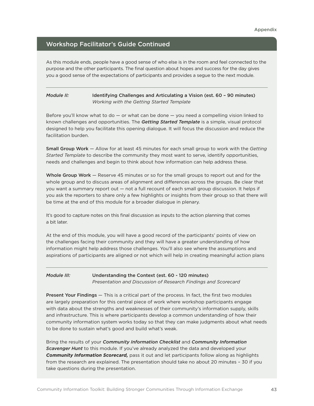As this module ends, people have a good sense of who else is in the room and feel connected to the purpose and the other participants. The final question about hopes and success for the day gives you a good sense of the expectations of participants and provides a segue to the next module.

#### *Module II:* Identifying Challenges and Articulating a Vision (est. 60 - 90 minutes) *Working with the Getting Started Template*

Before you'll know what to do  $-$  or what can be done  $-$  you need a compelling vision linked to known challenges and opportunities. The *Getting Started Template* is a simple, visual protocol designed to help you facilitate this opening dialogue. It will focus the discussion and reduce the facilitation burden.

Small Group Work — Allow for at least 45 minutes for each small group to work with the *Getting Started Template* to describe the community they most want to serve, identify opportunities, needs and challenges and begin to think about how information can help address these.

Whole Group Work – Reserve 45 minutes or so for the small groups to report out and for the whole group and to discuss areas of alignment and differences across the groups. Be clear that you want a summary report out — not a full recount of each small group discussion. It helps if you ask the reporters to share only a few highlights or insights from their group so that there will be time at the end of this module for a broader dialogue in plenary.

It's good to capture notes on this final discussion as inputs to the action planning that comes a bit later.

At the end of this module, you will have a good record of the participants' points of view on the challenges facing their community and they will have a greater understanding of how information might help address those challenges. You'll also see where the assumptions and aspirations of participants are aligned or not which will help in creating meaningful action plans

#### *Module III:* Understanding the Context (est. 60 - 120 minutes) *Presentation and Discussion of Research Findings and Scorecard*

Present Your Findings - This is a critical part of the process. In fact, the first two modules are largely preparation for this central piece of work where workshop participants engage with data about the strengths and weaknesses of their community's information supply, skills and infrastructure. This is where participants develop a common understanding of how their community information system works today so that they can make judgments about what needs to be done to sustain what's good and build what's weak.

Bring the results of your *Community Information Checklist* and *Community Information Scavenger Hunt* to this module. If you've already analyzed the data and developed your *Community Information Scorecard,* pass it out and let participants follow along as highlights from the research are explained. The presentation should take no about 20 minutes – 30 if you take questions during the presentation.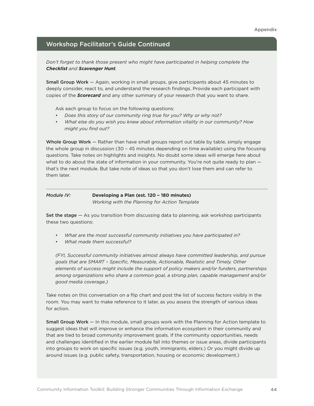*Don't forget to thank those present who might have participated in helping complete the Checklist and Scavenger Hunt.*

**Small Group Work** — Again, working in small groups, give participants about 45 minutes to deeply consider, react to, and understand the research findings. Provide each participant with copies of the *Scorecard* and any other summary of your research that you want to share.

Ask each group to focus on the following questions:

- *• Does this story of our community ring true for you? Why or why not?*
- *• What else do you wish you knew about information vitality in our community? How might you find out?*

Whole Group Work – Rather than have small groups report out table by table, simply engage the whole group in discussion (30 – 45 minutes depending on time available) using the focusing questions. Take notes on highlights and insights. No doubt some ideas will emerge here about what to do about the state of information in your community. You're not quite ready to plan – that's the next module. But take note of ideas so that you don't lose them and can refer to them later.

#### *Module IV:* **Developing a Plan (est. 120 – 180 minutes)** *Working with the Planning for Action Template*

Set the stage  $-$  As you transition from discussing data to planning, ask workshop participants these two questions:

- *• What are the most successful community initiatives you have participated in?*
- *• What made them successful?*

 *(FYI, Successful community initiatives almost always have committed leadership, and pursue goals that are SMART – Specific, Measurable, Actionable, Realistic and Timely. Other elements of success might include the support of policy makers and/or funders, partnerships among organizations who share a common goal, a strong plan, capable management and/or good media coverage.)*

Take notes on this conversation on a flip chart and post the list of success factors visibly in the room. You may want to make reference to it later, as you assess the strength of various ideas for action.

Small Group Work – In this module, small groups work with the Planning for Action template to suggest ideas that will improve or enhance the information ecosystem in their community and that are tied to broad community improvement goals. If the community opportunities, needs and challenges identified in the earlier module fall into themes or issue areas, divide participants into groups to work on specific issues (e.g. youth, immigrants, elders.) Or you might divide up around issues (e.g. public safety, transportation, housing or economic development.)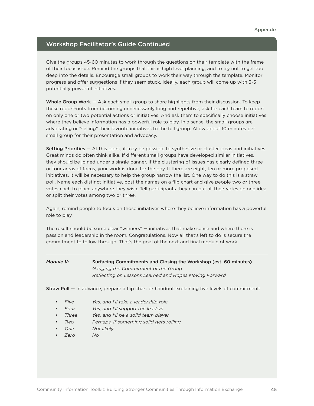Give the groups 45-60 minutes to work through the questions on their template with the frame of their focus issue. Remind the groups that this is high level planning, and to try not to get too deep into the details. Encourage small groups to work their way through the template. Monitor progress and offer suggestions if they seem stuck. Ideally, each group will come up with 3-5 potentially powerful initiatives.

Whole Group Work  $-$  Ask each small group to share highlights from their discussion. To keep these report-outs from becoming unnecessarily long and repetitive, ask for each team to report on only one or two potential actions or initiatives. And ask them to specifically choose initiatives where they believe information has a powerful role to play. In a sense, the small groups are advocating or "selling" their favorite initiatives to the full group. Allow about 10 minutes per small group for their presentation and advocacy.

Setting Priorities – At this point, it may be possible to synthesize or cluster ideas and initiatives. Great minds do often think alike. If different small groups have developed similar initiatives, they should be joined under a single banner. If the clustering of issues has clearly defined three or four areas of focus, your work is done for the day. If there are eight, ten or more proposed initiatives, it will be necessary to help the group narrow the list. One way to do this is a straw poll. Name each distinct initiative, post the names on a flip chart and give people two or three votes each to place anywhere they wish. Tell participants they can put all their votes on one idea or split their votes among two or three.

Again, remind people to focus on those initiatives where they believe information has a powerful role to play.

The result should be some clear "winners" — initiatives that make sense and where there is passion and leadership in the room. Congratulations. Now all that's left to do is secure the commitment to follow through. That's the goal of the next and final module of work.

#### *Module V:* Surfacing Commitments and Closing the Workshop (est. 60 minutes)  *Gauging the Commitment of the Group Reflecting on Lessons Learned and Hopes Moving Forward*

Straw Poll — In advance, prepare a flip chart or handout explaining five levels of commitment:

- *• Five Yes, and I'll take a leadership role*
- *• Four Yes, and I'll support the leaders*
- *• Three Yes, and I'll be a solid team player*
- *• Two Perhaps, if something solid gets rolling*
- *• One Not likely*
- *• Zero No*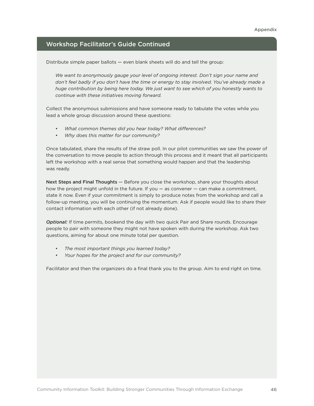Distribute simple paper ballots — even blank sheets will do and tell the group:

*We want to anonymously gauge your level of ongoing interest. Don't sign your name and don't feel badly if you don't have the time or energy to stay involved. You've already made a huge contribution by being here today. We just want to see which of you honestly wants to continue with these initiatives moving forward.* 

Collect the anonymous submissions and have someone ready to tabulate the votes while you lead a whole group discussion around these questions:

- *• What common themes did you hear today? What differences?*
- *• Why does this matter for our community?*

Once tabulated, share the results of the straw poll. In our pilot communities we saw the power of the conversation to move people to action through this process and it meant that all participants left the workshop with a real sense that something would happen and that the leadership was ready.

Next Steps and Final Thoughts — Before you close the workshop, share your thoughts about how the project might unfold in the future. If you - as convener - can make a commitment, state it now. Even if your commitment is simply to produce notes from the workshop and call a follow-up meeting, you will be continuing the momentum. Ask if people would like to share their contact information with each other (if not already done).

**Optional:** If time permits, bookend the day with two quick Pair and Share rounds. Encourage people to pair with someone they might not have spoken with during the workshop. Ask two questions, aiming for about one minute total per question.

- *• The most important things you learned today?*
- *• Your hopes for the project and for our community?*

Facilitator and then the organizers do a final thank you to the group. Aim to end right on time.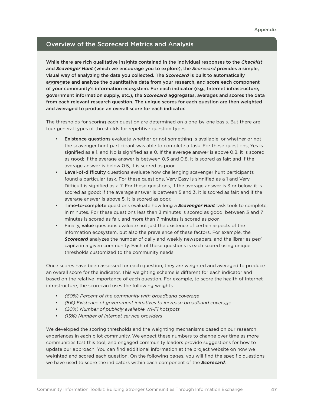#### Overview of the Scorecard Metrics and Analysis

While there are rich qualitative insights contained in the individual responses to the *Checklist* and *Scavenger Hunt* (which we encourage you to explore), the *Scorecard* provides a simple, visual way of analyzing the data you collected. The *Scorecard* is built to automatically aggregate and analyze the quantitative data from your research, and score each component of your community's information ecosystem. For each indicator (e.g., Internet infrastructure, government information supply, etc.), the *Scorecard* aggregates, averages and scores the data from each relevant research question. The unique scores for each question are then weighted and averaged to produce an overall score for each indicator.

The thresholds for scoring each question are determined on a one-by-one basis. But there are four general types of thresholds for repetitive question types:

- **Existence questions** evaluate whether or not something is available, or whether or not the scavenger hunt participant was able to complete a task. For these questions, Yes is signified as a 1, and No is signified as a 0. If the average answer is above 0.8, it is scored as good; if the average answer is between 0.5 and 0.8, it is scored as fair; and if the average answer is below 0.5, it is scored as poor.
- Level-of-difficulty questions evaluate how challenging scavenger hunt participants found a particular task. For these questions, Very Easy is signified as a 1 and Very Difficult is signified as a 7. For these questions, if the average answer is 3 or below, it is scored as good; if the average answer is between 5 and 3, it is scored as fair; and if the average answer is above 5, it is scored as poor.
- • Time-to-complete questions evaluate how long a *Scavenger Hunt* task took to complete, in minutes. For these questions less than 3 minutes is scored as good, between 3 and 7 minutes is scored as fair, and more than 7 minutes is scored as poor.
- Finally, value questions evaluate not just the existence of certain aspects of the information ecosystem, but also the prevalence of these factors. For example, the *Scorecard* analyzes the number of daily and weekly newspapers, and the libraries per/ capita in a given community. Each of these questions is each scored using unique thresholds customized to the community needs.

Once scores have been assessed for each question, they are weighted and averaged to produce an overall score for the indicator. This weighting scheme is different for each indicator and based on the relative importance of each question. For example, to score the health of Internet infrastructure, the scorecard uses the following weights:

- *• (60%) Percent of the community with broadband coverage*
- *• (5%) Existence of government initiatives to increase broadband coverage*
- *• (20%) Number of publicly available Wi-Fi hotspots*
- *• (15%) Number of Internet service providers*

We developed the scoring thresholds and the weighting mechanisms based on our research experiences in each pilot community. We expect these numbers to change over time as more communities test this tool, and engaged community leaders provide suggestions for how to update our approach. You can find additional information at the project website on how we weighted and scored each question. On the following pages, you will find the specific questions we have used to score the indicators within each component of the *Scorecard*.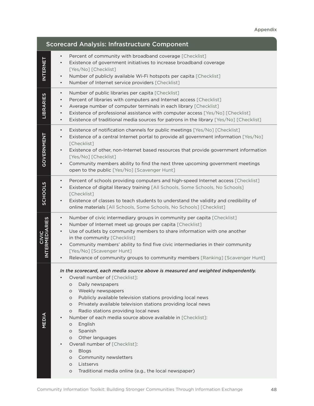| <b>Scorecard Analysis: Infrastructure Component</b> |                                                                                                                                                                                                                                                                                                                                                                                                                                                                                                                                                                                                                                                                                                    |  |  |  |
|-----------------------------------------------------|----------------------------------------------------------------------------------------------------------------------------------------------------------------------------------------------------------------------------------------------------------------------------------------------------------------------------------------------------------------------------------------------------------------------------------------------------------------------------------------------------------------------------------------------------------------------------------------------------------------------------------------------------------------------------------------------------|--|--|--|
| <b>INTERNET</b>                                     | Percent of community with broadband coverage [Checklist]<br>$\bullet$<br>Existence of government initiatives to increase broadband coverage<br>[Yes/No] [Checklist]<br>Number of publicly available Wi-Fi hotspots per capita [Checklist]<br>$\bullet$<br>Number of Internet service providers [Checklist]<br>$\bullet$                                                                                                                                                                                                                                                                                                                                                                            |  |  |  |
| <b>LIBRARIES</b>                                    | Number of public libraries per capita [Checklist]<br>$\bullet$<br>Percent of libraries with computers and Internet access [Checklist]<br>$\bullet$<br>Average number of computer terminals in each library [Checklist]<br>$\bullet$<br>Existence of professional assistance with computer access [Yes/No] [Checklist]<br>$\bullet$<br>Existence of traditional media sources for patrons in the library [Yes/No] [Checklist]<br>$\bullet$                                                                                                                                                                                                                                                          |  |  |  |
| GOVERNMENT                                          | Existence of notification channels for public meetings [Yes/No] [Checklist]<br>$\bullet$<br>Existence of a central Internet portal to provide all government information [Yes/No]<br>$\bullet$<br>[Checklist]<br>Existence of other, non-Internet based resources that provide government information<br>$\bullet$<br>[Yes/No] [Checklist]<br>Community members ability to find the next three upcoming government meetings<br>$\bullet$<br>open to the public [Yes/No] [Scavenger Hunt]                                                                                                                                                                                                           |  |  |  |
| <b>STOOHOS</b>                                      | Percent of schools providing computers and high-speed Internet access [Checklist]<br>$\bullet$<br>Existence of digital literacy training [All Schools, Some Schools, No Schools]<br>$\bullet$<br>[Checklist]<br>Existence of classes to teach students to understand the validity and credibility of<br>$\bullet$<br>online materials [All Schools, Some Schools, No Schools] [Checklist]                                                                                                                                                                                                                                                                                                          |  |  |  |
| <b>INTERMEDIARIES</b>                               | Number of civic intermediary groups in community per capita [Checklist]<br>٠<br>Number of Internet meet up groups per capita [Checklist]<br>$\bullet$<br>Use of outlets by community members to share information with one another<br>$\bullet$<br>in the community [Checklist]<br>Community members' ability to find five civic intermediaries in their community<br>$\bullet$<br>[Yes/No] [Scavenger Hunt]<br>Relevance of community groups to community members [Ranking] [Scavenger Hunt]<br>$\bullet$                                                                                                                                                                                         |  |  |  |
| MEDIA                                               | In the scorecard, each media source above is measured and weighted independently.<br>Overall number of [Checklist]:<br>$\bullet$<br>Daily newspapers<br>O<br>Weekly newspapers<br>$\circ$<br>Publicly available television stations providing local news<br>O<br>Privately available television stations providing local news<br>O<br>Radio stations providing local news<br>$\circ$<br>Number of each media source above available in [Checklist]:<br>$\bullet$<br>English<br>O<br>Spanish<br>O<br>Other languages<br>O<br>Overall number of [Checklist]:<br><b>Blogs</b><br>O<br>Community newsletters<br>O<br>Listservs<br>$\circ$<br>Traditional media online (e.g., the local newspaper)<br>O |  |  |  |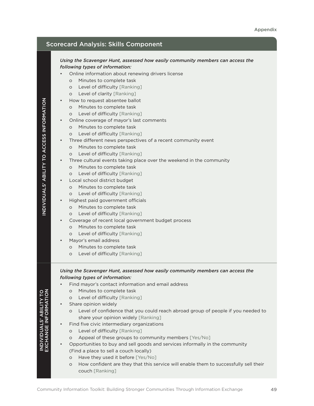|                                            | <b>Scorecard Analysis: Skills Component</b>                                                                                                                                                                                                                                                                                                                                                                                                                                                                                                                                                                                                                                                                                                                                                                                                                                                                                                                                                                                                                                                                                                                                                                                                                                                                                                                      |
|--------------------------------------------|------------------------------------------------------------------------------------------------------------------------------------------------------------------------------------------------------------------------------------------------------------------------------------------------------------------------------------------------------------------------------------------------------------------------------------------------------------------------------------------------------------------------------------------------------------------------------------------------------------------------------------------------------------------------------------------------------------------------------------------------------------------------------------------------------------------------------------------------------------------------------------------------------------------------------------------------------------------------------------------------------------------------------------------------------------------------------------------------------------------------------------------------------------------------------------------------------------------------------------------------------------------------------------------------------------------------------------------------------------------|
| INDIVIDUALS' ABILITY TO ACCESS INFORMATION | Using the Scavenger Hunt, assessed how easily community members can access the<br>following types of information:<br>Online information about renewing drivers license<br>Minutes to complete task<br>$\circ$<br>o Level of difficulty [Ranking]<br>o Level of clarity [Ranking]<br>How to request absentee ballot<br>$\bullet$<br>Minutes to complete task<br>$\circ$<br>o Level of difficulty [Ranking]<br>Online coverage of mayor's last comments<br>Minutes to complete task<br>$\circ$<br>Level of difficulty [Ranking]<br>$\circ$<br>Three different news perspectives of a recent community event<br>٠<br>Minutes to complete task<br>$\circ$<br>Level of difficulty [Ranking]<br>$\circ$<br>Three cultural events taking place over the weekend in the community<br>$\bullet$<br>o Minutes to complete task<br>o Level of difficulty [Ranking]<br>Local school district budget<br>$\bullet$<br>Minutes to complete task<br>$\circ$<br>Level of difficulty [Ranking]<br>$\circ$<br>Highest paid government officials<br>Minutes to complete task<br>$\circ$<br>Level of difficulty [Ranking]<br>$\circ$<br>Coverage of recent local government budget process<br>٠<br>Minutes to complete task<br>$\circ$<br>Level of difficulty [Ranking]<br>$\circ$<br>Mayor's email address<br>o Minutes to complete task<br>Level of difficulty [Ranking]<br>$\circ$ |
| INDIVIDUALS' ABILITY TO                    | Using the Scavenger Hunt, assessed how easily community members can access the<br>following types of information:<br>Find mayor's contact information and email address<br>Minutes to complete task<br>$\circ$<br>Level of difficulty [Ranking]<br>$\circ$<br>Share opinion widely<br>$\bullet$<br>Level of confidence that you could reach abroad group of people if you needed to<br>$\circ$<br>share your opinion widely [Ranking]<br>Find five civic intermediary organizations<br>$\bullet$<br>Level of difficulty [Ranking]<br>$\circ$<br>Appeal of these groups to community members [Yes/No]<br>$\circ$<br>Opportunities to buy and sell goods and services informally in the community<br>$\bullet$<br>(Find a place to sell a couch locally)<br>Have they used it before [Yes/No]<br>O<br>How confident are they that this service will enable them to successfully sell their<br>O<br>couch [Ranking]                                                                                                                                                                                                                                                                                                                                                                                                                                                 |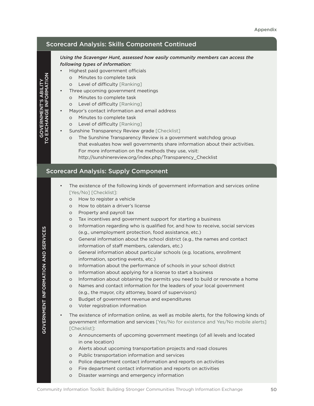# Scorecard Analysis: Skills Component Continued

#### *Using the Scavenger Hunt, assessed how easily community members can access the following types of information:*

- Highest paid government officials
	- o Minutes to complete task
	- o Level of difficulty [Ranking]
- Three upcoming government meetings
	- o Minutes to complete task
	- o Level of difficulty [Ranking]
- Mayor's contact information and email address
	- o Minutes to complete task
	- o Level of difficulty [Ranking]
- Sunshine Transparency Review grade [Checklist]
	- o The Sunshine Transparency Review is a government watchdog group that evaluates how well governments share information about their activities. For more information on the methods they use, visit: http://sunshinereview.org/index.php/Transparency\_Checklist

# Scorecard Analysis: Supply Component

- The existence of the following kinds of government information and services online [Yes/No] [Checklist]:
	- o How to register a vehicle
	- o How to obtain a driver's license
	- o Property and payroll tax
	- o Tax incentives and government support for starting a business
	- o Information regarding who is qualified for, and how to receive, social services (e.g., unemployment protection, food assistance, etc.)
	- o General information about the school district (e.g., the names and contact information of staff members, calendars, etc.)
	- o General information about particular schools (e.g. locations, enrollment information, sporting events, etc.)
	- o Information about the performance of schools in your school district
	- o Information about applying for a license to start a business
	- o Information about obtaining the permits you need to build or renovate a home
	- o Names and contact information for the leaders of your local government (e.g., the mayor, city attorney, board of supervisors)
	- o Budget of government revenue and expenditures
	- o Voter registration information
- The existence of information online, as well as mobile alerts, for the following kinds of government information and services [Yes/No for existence and Yes/No mobile alerts] [Checklist]:
	- o Announcements of upcoming government meetings (of all levels and located in one location)
	- o Alerts about upcoming transportation projects and road closures
	- o Public transportation information and services
	- o Police department contact information and reports on activities
	- o Fire department contact information and reports on activities
	- o Disaster warnings and emergency information